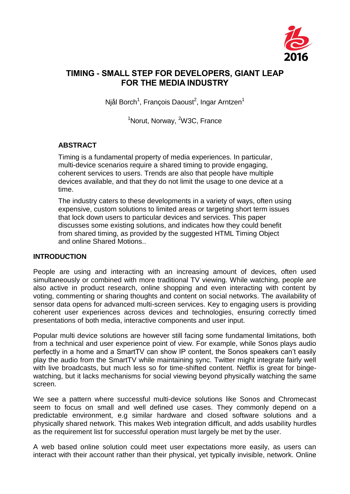

# **TIMING - SMALL STEP FOR DEVELOPERS, GIANT LEAP FOR THE MEDIA INDUSTRY**

Njål Borch<sup>1</sup>, François Daoust<sup>2</sup>, Ingar Arntzen<sup>1</sup>

<sup>1</sup>Norut, Norway, <sup>2</sup>W3C, France

# **ABSTRACT**

Timing is a fundamental property of media experiences. In particular, multi-device scenarios require a shared timing to provide engaging, coherent services to users. Trends are also that people have multiple devices available, and that they do not limit the usage to one device at a time.

The industry caters to these developments in a variety of ways, often using expensive, custom solutions to limited areas or targeting short term issues that lock down users to particular devices and services. This paper discusses some existing solutions, and indicates how they could benefit from shared timing, as provided by the suggested HTML Timing Object and online Shared Motions..

# **INTRODUCTION**

People are using and interacting with an increasing amount of devices, often used simultaneously or combined with more traditional TV viewing. While watching, people are also active in product research, online shopping and even interacting with content by voting, commenting or sharing thoughts and content on social networks. The availability of sensor data opens for advanced multi-screen services. Key to engaging users is providing coherent user experiences across devices and technologies, ensuring correctly timed presentations of both media, interactive components and user input.

Popular multi device solutions are however still facing some fundamental limitations, both from a technical and user experience point of view. For example, while Sonos plays audio perfectly in a home and a SmartTV can show IP content, the Sonos speakers can't easily play the audio from the SmartTV while maintaining sync. Twitter might integrate fairly well with live broadcasts, but much less so for time-shifted content. Netflix is great for bingewatching, but it lacks mechanisms for social viewing beyond physically watching the same screen.

We see a pattern where successful multi-device solutions like Sonos and Chromecast seem to focus on small and well defined use cases. They commonly depend on a predictable environment, e.g similar hardware and closed software solutions and a physically shared network. This makes Web integration difficult, and adds usability hurdles as the requirement list for successful operation must largely be met by the user.

A web based online solution could meet user expectations more easily, as users can interact with their account rather than their physical, yet typically invisible, network. Online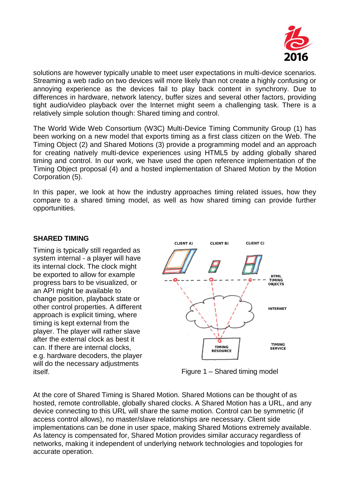

solutions are however typically unable to meet user expectations in multi-device scenarios. Streaming a web radio on two devices will more likely than not create a highly confusing or annoying experience as the devices fail to play back content in synchrony. Due to differences in hardware, network latency, buffer sizes and several other factors, providing tight audio/video playback over the Internet might seem a challenging task. There is a relatively simple solution though: Shared timing and control.

The World Wide Web Consortium (W3C) Multi-Device Timing Community Group (1) has been working on a new model that exports timing as a first class citizen on the Web. The Timing Object (2) and Shared Motions (3) provide a programming model and an approach for creating natively multi-device experiences using HTML5 by adding globally shared timing and control. In our work, we have used the open reference implementation of the Timing Object proposal (4) and a hosted implementation of Shared Motion by the Motion Corporation (5).

In this paper, we look at how the industry approaches timing related issues, how they compare to a shared timing model, as well as how shared timing can provide further opportunities.

#### **SHARED TIMING**

Timing is typically still regarded as system internal - a player will have its internal clock. The clock might be exported to allow for example progress bars to be visualized, or an API might be available to change position, playback state or other control properties. A different approach is explicit timing, where timing is kept external from the player. The player will rather slave after the external clock as best it can. If there are internal clocks, e.g. hardware decoders, the player will do the necessary adjustments itself.



Figure 1 – Shared timing model

At the core of Shared Timing is Shared Motion. Shared Motions can be thought of as hosted, remote controllable, globally shared clocks. A Shared Motion has a URL, and any device connecting to this URL will share the same motion. Control can be symmetric (if access control allows), no master/slave relationships are necessary. Client side implementations can be done in user space, making Shared Motions extremely available. As latency is compensated for, Shared Motion provides similar accuracy regardless of networks, making it independent of underlying network technologies and topologies for accurate operation.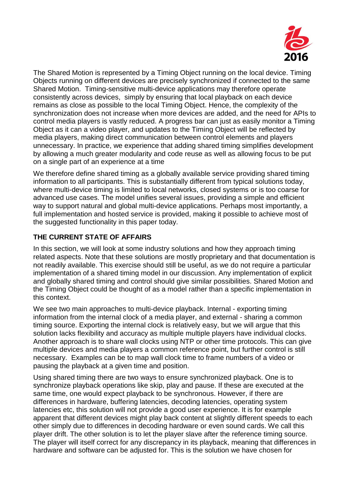

The Shared Motion is represented by a Timing Object running on the local device. Timing Objects running on different devices are precisely synchronized if connected to the same Shared Motion. Timing-sensitive multi-device applications may therefore operate consistently across devices, simply by ensuring that local playback on each device remains as close as possible to the local Timing Object. Hence, the complexity of the synchronization does not increase when more devices are added, and the need for APIs to control media players is vastly reduced. A progress bar can just as easily monitor a Timing Object as it can a video player, and updates to the Timing Object will be reflected by media players, making direct communication between control elements and players unnecessary. In practice, we experience that adding shared timing simplifies development by allowing a much greater modularity and code reuse as well as allowing focus to be put on a single part of an experience at a time

We therefore define shared timing as a globally available service providing shared timing information to all participants. This is substantially different from typical solutions today, where multi-device timing is limited to local networks, closed systems or is too coarse for advanced use cases. The model unifies several issues, providing a simple and efficient way to support natural and global multi-device applications. Perhaps most importantly, a full implementation and hosted service is provided, making it possible to achieve most of the suggested functionality in this paper today.

# **THE CURRENT STATE OF AFFAIRS**

In this section, we will look at some industry solutions and how they approach timing related aspects. Note that these solutions are mostly proprietary and that documentation is not readily available. This exercise should still be useful, as we do not require a particular implementation of a shared timing model in our discussion. Any implementation of explicit and globally shared timing and control should give similar possibilities. Shared Motion and the Timing Object could be thought of as a model rather than a specific implementation in this context.

We see two main approaches to multi-device playback. Internal - exporting timing information from the internal clock of a media player, and external - sharing a common timing source. Exporting the internal clock is relatively easy, but we will argue that this solution lacks flexibility and accuracy as multiple multiple players have individual clocks. Another approach is to share wall clocks using NTP or other time protocols. This can give multiple devices and media players a common reference point, but further control is still necessary. Examples can be to map wall clock time to frame numbers of a video or pausing the playback at a given time and position.

Using shared timing there are two ways to ensure synchronized playback. One is to synchronize playback operations like skip, play and pause. If these are executed at the same time, one would expect playback to be synchronous. However, if there are differences in hardware, buffering latencies, decoding latencies, operating system latencies etc, this solution will not provide a good user experience. It is for example apparent that different devices might play back content at slightly different speeds to each other simply due to differences in decoding hardware or even sound cards. We call this player drift. The other solution is to let the player slave after the reference timing source. The player will itself correct for any discrepancy in its playback, meaning that differences in hardware and software can be adjusted for. This is the solution we have chosen for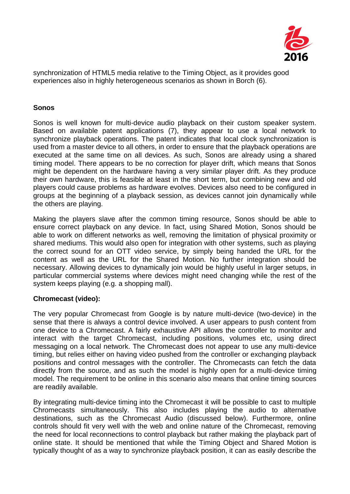

synchronization of HTML5 media relative to the Timing Object, as it provides good experiences also in highly heterogeneous scenarios as shown in Borch (6).

#### **Sonos**

Sonos is well known for multi-device audio playback on their custom speaker system. Based on available patent applications (7), they appear to use a local network to synchronize playback operations. The patent indicates that local clock synchronization is used from a master device to all others, in order to ensure that the playback operations are executed at the same time on all devices. As such, Sonos are already using a shared timing model. There appears to be no correction for player drift, which means that Sonos might be dependent on the hardware having a very similar player drift. As they produce their own hardware, this is feasible at least in the short term, but combining new and old players could cause problems as hardware evolves. Devices also need to be configured in groups at the beginning of a playback session, as devices cannot join dynamically while the others are playing.

Making the players slave after the common timing resource, Sonos should be able to ensure correct playback on any device. In fact, using Shared Motion, Sonos should be able to work on different networks as well, removing the limitation of physical proximity or shared mediums. This would also open for integration with other systems, such as playing the correct sound for an OTT video service, by simply being handed the URL for the content as well as the URL for the Shared Motion. No further integration should be necessary. Allowing devices to dynamically join would be highly useful in larger setups, in particular commercial systems where devices might need changing while the rest of the system keeps playing (e.g. a shopping mall).

#### **Chromecast (video):**

The very popular Chromecast from Google is by nature multi-device (two-device) in the sense that there is always a control device involved. A user appears to push content from one device to a Chromecast. A fairly exhaustive API allows the controller to monitor and interact with the target Chromecast, including positions, volumes etc, using direct messaging on a local network. The Chromecast does not appear to use any multi-device timing, but relies either on having video pushed from the controller or exchanging playback positions and control messages with the controller. The Chromecasts can fetch the data directly from the source, and as such the model is highly open for a multi-device timing model. The requirement to be online in this scenario also means that online timing sources are readily available.

By integrating multi-device timing into the Chromecast it will be possible to cast to multiple Chromecasts simultaneously. This also includes playing the audio to alternative destinations, such as the Chromecast Audio (discussed below). Furthermore, online controls should fit very well with the web and online nature of the Chromecast, removing the need for local reconnections to control playback but rather making the playback part of online state. It should be mentioned that while the Timing Object and Shared Motion is typically thought of as a way to synchronize playback position, it can as easily describe the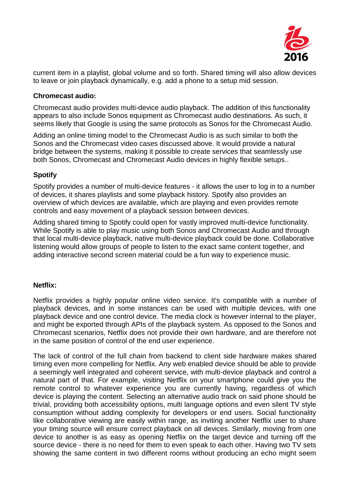

current item in a playlist, global volume and so forth. Shared timing will also allow devices to leave or join playback dynamically, e.g. add a phone to a setup mid session.

#### **Chromecast audio:**

Chromecast audio provides multi-device audio playback. The addition of this functionality appears to also include Sonos equipment as Chromecast audio destinations. As such, it seems likely that Google is using the same protocols as Sonos for the Chromecast Audio.

Adding an online timing model to the Chromecast Audio is as such similar to both the Sonos and the Chromecast video cases discussed above. It would provide a natural bridge between the systems, making it possible to create services that seamlessly use both Sonos, Chromecast and Chromecast Audio devices in highly flexible setups..

#### **Spotify**

Spotify provides a number of multi-device features - it allows the user to log in to a number of devices, it shares playlists and some playback history. Spotify also provides an overview of which devices are available, which are playing and even provides remote controls and easy movement of a playback session between devices.

Adding shared timing to Spotify could open for vastly improved multi-device functionality. While Spotify is able to play music using both Sonos and Chromecast Audio and through that local multi-device playback, native multi-device playback could be done. Collaborative listening would allow groups of people to listen to the exact same content together, and adding interactive second screen material could be a fun way to experience music.

#### **Netflix:**

Netflix provides a highly popular online video service. It's compatible with a number of playback devices, and in some instances can be used with multiple devices, with one playback device and one control device. The media clock is however internal to the player, and might be exported through APIs of the playback system. As opposed to the Sonos and Chromecast scenarios, Netflix does not provide their own hardware, and are therefore not in the same position of control of the end user experience.

The lack of control of the full chain from backend to client side hardware makes shared timing even more compelling for Netflix. Any web enabled device should be able to provide a seemingly well integrated and coherent service, with multi-device playback and control a natural part of that. For example, visiting Netflix on your smartphone could give you the remote control to whatever experience you are currently having, regardless of which device is playing the content. Selecting an alternative audio track on said phone should be trivial, providing both accessibility options, multi language options and even silent TV style consumption without adding complexity for developers or end users. Social functionality like collaborative viewing are easily within range, as inviting another Netflix user to share your timing source will ensure correct playback on all devices. Similarly, moving from one device to another is as easy as opening Netflix on the target device and turning off the source device - there is no need for them to even speak to each other. Having two TV sets showing the same content in two different rooms without producing an echo might seem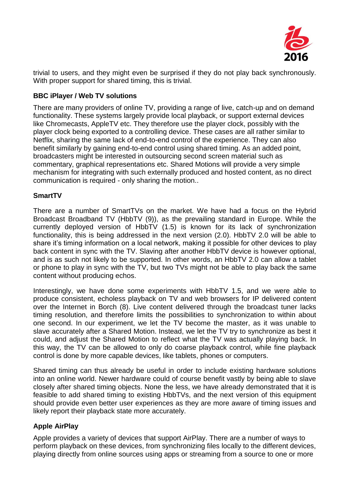

trivial to users, and they might even be surprised if they do not play back synchronously. With proper support for shared timing, this is trivial.

#### **BBC iPlayer / Web TV solutions**

There are many providers of online TV, providing a range of live, catch-up and on demand functionality. These systems largely provide local playback, or support external devices like Chromecasts, AppleTV etc. They therefore use the player clock, possibly with the player clock being exported to a controlling device. These cases are all rather similar to Netflix, sharing the same lack of end-to-end control of the experience. They can also benefit similarly by gaining end-to-end control using shared timing. As an added point, broadcasters might be interested in outsourcing second screen material such as commentary, graphical representations etc. Shared Motions will provide a very simple mechanism for integrating with such externally produced and hosted content, as no direct communication is required - only sharing the motion..

#### **SmartTV**

There are a number of SmartTVs on the market. We have had a focus on the Hybrid Broadcast Broadband TV (HbbTV (9)), as the prevailing standard in Europe. While the currently deployed version of HbbTV (1.5) is known for its lack of synchronization functionality, this is being addressed in the next version (2.0). HbbTV 2.0 will be able to share it's timing information on a local network, making it possible for other devices to play back content in sync with the TV. Slaving after another HbbTV device is however optional, and is as such not likely to be supported. In other words, an HbbTV 2.0 can allow a tablet or phone to play in sync with the TV, but two TVs might not be able to play back the same content without producing echos.

Interestingly, we have done some experiments with HbbTV 1.5, and we were able to produce consistent, echoless playback on TV and web browsers for IP delivered content over the Internet in Borch (8). Live content delivered through the broadcast tuner lacks timing resolution, and therefore limits the possibilities to synchronization to within about one second. In our experiment, we let the TV become the master, as it was unable to slave accurately after a Shared Motion. Instead, we let the TV try to synchronize as best it could, and adjust the Shared Motion to reflect what the TV was actually playing back. In this way, the TV can be allowed to only do coarse playback control, while fine playback control is done by more capable devices, like tablets, phones or computers.

Shared timing can thus already be useful in order to include existing hardware solutions into an online world. Newer hardware could of course benefit vastly by being able to slave closely after shared timing objects. None the less, we have already demonstrated that it is feasible to add shared timing to existing HbbTVs, and the next version of this equipment should provide even better user experiences as they are more aware of timing issues and likely report their playback state more accurately.

# **Apple AirPlay**

Apple provides a variety of devices that support AirPlay. There are a number of ways to perform playback on these devices, from synchronizing files locally to the different devices, playing directly from online sources using apps or streaming from a source to one or more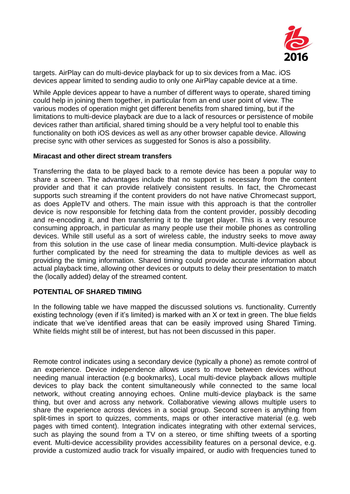

targets. AirPlay can do multi-device playback for up to six devices from a Mac. iOS devices appear limited to sending audio to only one AirPlay capable device at a time.

While Apple devices appear to have a number of different ways to operate, shared timing could help in joining them together, in particular from an end user point of view. The various modes of operation might get different benefits from shared timing, but if the limitations to multi-device playback are due to a lack of resources or persistence of mobile devices rather than artificial, shared timing should be a very helpful tool to enable this functionality on both iOS devices as well as any other browser capable device. Allowing precise sync with other services as suggested for Sonos is also a possibility.

#### **Miracast and other direct stream transfers**

Transferring the data to be played back to a remote device has been a popular way to share a screen. The advantages include that no support is necessary from the content provider and that it can provide relatively consistent results. In fact, the Chromecast supports such streaming if the content providers do not have native Chromecast support, as does AppleTV and others. The main issue with this approach is that the controller device is now responsible for fetching data from the content provider, possibly decoding and re-encoding it, and then transferring it to the target player. This is a very resource consuming approach, in particular as many people use their mobile phones as controlling devices. While still useful as a sort of wireless cable, the industry seeks to move away from this solution in the use case of linear media consumption. Multi-device playback is further complicated by the need for streaming the data to multiple devices as well as providing the timing information. Shared timing could provide accurate information about actual playback time, allowing other devices or outputs to delay their presentation to match the (locally added) delay of the streamed content.

#### **POTENTIAL OF SHARED TIMING**

In the following table we have mapped the discussed solutions vs. functionality. Currently existing technology (even if it's limited) is marked with an X or text in green. The blue fields indicate that we've identified areas that can be easily improved using Shared Timing. White fields might still be of interest, but has not been discussed in this paper.

Remote control indicates using a secondary device (typically a phone) as remote control of an experience. Device independence allows users to move between devices without needing manual interaction (e.g bookmarks), Local multi-device playback allows multiple devices to play back the content simultaneously while connected to the same local network, without creating annoying echoes. Online multi-device playback is the same thing, but over and across any network. Collaborative viewing allows multiple users to share the experience across devices in a social group. Second screen is anything from split-times in sport to quizzes, comments, maps or other interactive material (e.g. web pages with timed content). Integration indicates integrating with other external services, such as playing the sound from a TV on a stereo, or time shifting tweets of a sporting event. Multi-device accessibility provides accessibility features on a personal device, e.g. provide a customized audio track for visually impaired, or audio with frequencies tuned to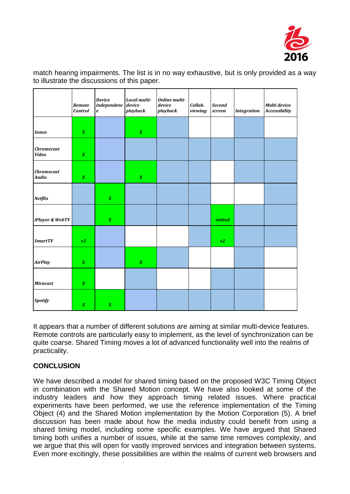

match hearing impairments. The list is in no way exhaustive, but is only provided as a way to illustrate the discussions of this paper.

|                                   | Remote<br><b>Control</b> | <b>Device</b><br>$independent$ device<br>$\pmb{e}$ | Local multi-<br>playback | <b>Online multi-</b><br>device<br>playback | Collab.<br>viewing | <b>Second</b><br>screen | <b>Integration</b> | Multi device<br><b>Accessibility</b> |
|-----------------------------------|--------------------------|----------------------------------------------------|--------------------------|--------------------------------------------|--------------------|-------------------------|--------------------|--------------------------------------|
| <b>Sonos</b>                      | $\pmb{X}$                |                                                    | $\pmb{X}$                |                                            |                    |                         |                    |                                      |
| <b>Chromecast</b><br><b>Video</b> | $\pmb{X}$                |                                                    |                          |                                            |                    |                         |                    |                                      |
| <b>Chromecast</b><br>Audio        | $\pmb{X}$                |                                                    | $\pmb{X}$                |                                            |                    |                         |                    |                                      |
| Netflix                           |                          | $\pmb{X}$                                          |                          |                                            |                    |                         |                    |                                      |
| iPlayer & WebTV                   |                          | $\pmb{X}$                                          |                          |                                            |                    | embed                   |                    |                                      |
| <b>SmartTV</b>                    | v2                       |                                                    |                          |                                            |                    | v2                      |                    |                                      |
| <b>AirPlay</b>                    | $\pmb{X}$                |                                                    | $\pmb{X}$                |                                            |                    |                         |                    |                                      |
| <b>Miracast</b>                   | $\pmb{X}$                |                                                    |                          |                                            |                    |                         |                    |                                      |
| <b>Spotify</b>                    | $\boldsymbol{X}$         | $\pmb{X}$                                          |                          |                                            |                    |                         |                    |                                      |

It appears that a number of different solutions are aiming at similar multi-device features. Remote controls are particularly easy to implement, as the level of synchronization can be quite coarse. Shared Timing moves a lot of advanced functionality well into the realms of practicality.

# **CONCLUSION**

We have described a model for shared timing based on the proposed W3C Timing Object in combination with the Shared Motion concept. We have also looked at some of the industry leaders and how they approach timing related issues. Where practical experiments have been performed, we use the reference implementation of the Timing Object (4) and the Shared Motion implementation by the Motion Corporation (5). A brief discussion has been made about how the media industry could benefit from using a shared timing model, including some specific examples. We have argued that Shared timing both unifies a number of issues, while at the same time removes complexity, and we argue that this will open for vastly improved services and integration between systems. Even more excitingly, these possibilities are within the realms of current web browsers and